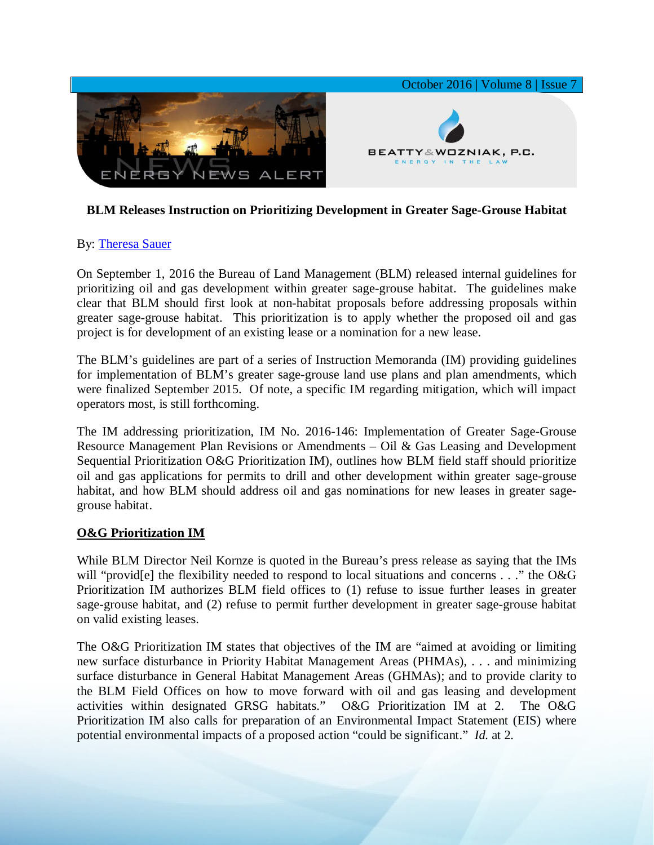

# **BLM Releases Instruction on Prioritizing Development in Greater Sage-Grouse Habitat**

#### By: [Theresa Sauer](http://www.bwenergylaw.com/theresa-sauer)

On September 1, 2016 the Bureau of Land Management (BLM) released internal guidelines for prioritizing oil and gas development within greater sage-grouse habitat. The guidelines make clear that BLM should first look at non-habitat proposals before addressing proposals within greater sage-grouse habitat. This prioritization is to apply whether the proposed oil and gas project is for development of an existing lease or a nomination for a new lease.

The BLM's guidelines are part of a series of Instruction Memoranda (IM) providing guidelines for implementation of BLM's greater sage-grouse land use plans and plan amendments, which were finalized September 2015. Of note, a specific IM regarding mitigation, which will impact operators most, is still forthcoming.

The IM addressing prioritization, IM No. 2016-146: Implementation of Greater Sage-Grouse Resource Management Plan Revisions or Amendments – Oil & Gas Leasing and Development Sequential Prioritization O&G Prioritization IM), outlines how BLM field staff should prioritize oil and gas applications for permits to drill and other development within greater sage-grouse habitat, and how BLM should address oil and gas nominations for new leases in greater sagegrouse habitat.

#### **O&G Prioritization IM**

While BLM Director Neil Kornze is quoted in the Bureau's press release as saying that the IMs will "provid<sup>[e]</sup> the flexibility needed to respond to local situations and concerns . . ." the O&G Prioritization IM authorizes BLM field offices to (1) refuse to issue further leases in greater sage-grouse habitat, and (2) refuse to permit further development in greater sage-grouse habitat on valid existing leases.

The O&G Prioritization IM states that objectives of the IM are "aimed at avoiding or limiting new surface disturbance in Priority Habitat Management Areas (PHMAs), . . . and minimizing surface disturbance in General Habitat Management Areas (GHMAs); and to provide clarity to the BLM Field Offices on how to move forward with oil and gas leasing and development activities within designated GRSG habitats." O&G Prioritization IM at 2. The O&G Prioritization IM also calls for preparation of an Environmental Impact Statement (EIS) where potential environmental impacts of a proposed action "could be significant." *Id.* at 2.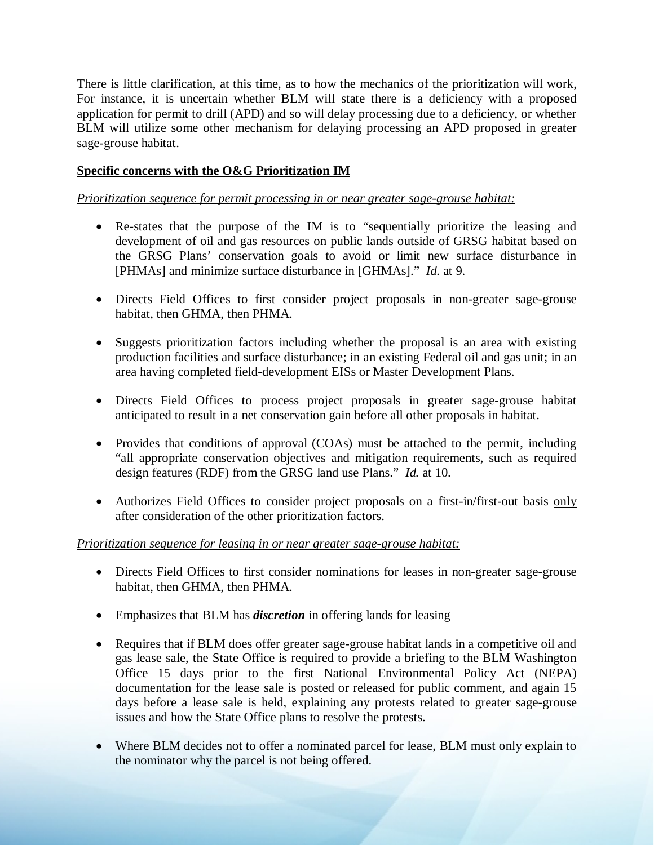There is little clarification, at this time, as to how the mechanics of the prioritization will work, For instance, it is uncertain whether BLM will state there is a deficiency with a proposed application for permit to drill (APD) and so will delay processing due to a deficiency, or whether BLM will utilize some other mechanism for delaying processing an APD proposed in greater sage-grouse habitat.

# **Specific concerns with the O&G Prioritization IM**

### *Prioritization sequence for permit processing in or near greater sage-grouse habitat:*

- Re-states that the purpose of the IM is to "sequentially prioritize the leasing and development of oil and gas resources on public lands outside of GRSG habitat based on the GRSG Plans' conservation goals to avoid or limit new surface disturbance in [PHMAs] and minimize surface disturbance in [GHMAs]." *Id.* at 9.
- Directs Field Offices to first consider project proposals in non-greater sage-grouse habitat, then GHMA, then PHMA.
- Suggests prioritization factors including whether the proposal is an area with existing production facilities and surface disturbance; in an existing Federal oil and gas unit; in an area having completed field-development EISs or Master Development Plans.
- Directs Field Offices to process project proposals in greater sage-grouse habitat anticipated to result in a net conservation gain before all other proposals in habitat.
- Provides that conditions of approval (COAs) must be attached to the permit, including "all appropriate conservation objectives and mitigation requirements, such as required design features (RDF) from the GRSG land use Plans." *Id.* at 10.
- Authorizes Field Offices to consider project proposals on a first-in/first-out basis only after consideration of the other prioritization factors.

# *Prioritization sequence for leasing in or near greater sage-grouse habitat:*

- Directs Field Offices to first consider nominations for leases in non-greater sage-grouse habitat, then GHMA, then PHMA.
- Emphasizes that BLM has *discretion* in offering lands for leasing
- Requires that if BLM does offer greater sage-grouse habitat lands in a competitive oil and gas lease sale, the State Office is required to provide a briefing to the BLM Washington Office 15 days prior to the first National Environmental Policy Act (NEPA) documentation for the lease sale is posted or released for public comment, and again 15 days before a lease sale is held, explaining any protests related to greater sage-grouse issues and how the State Office plans to resolve the protests.
- Where BLM decides not to offer a nominated parcel for lease, BLM must only explain to the nominator why the parcel is not being offered.